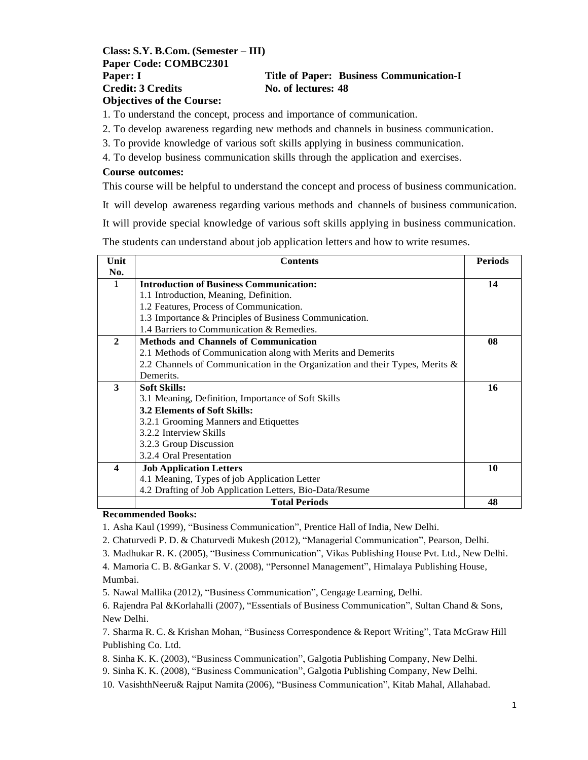#### **Class: S.Y. B.Com. (Semester – III) Paper Code: COMBC2301 Paper: I Title of Paper: Business Communication-I Credit: 3 Credits No. of lectures: 48 Objectives of the Course:**

1. To understand the concept, process and importance of communication.

2. To develop awareness regarding new methods and channels in business communication.

3. To provide knowledge of various soft skills applying in business communication.

4. To develop business communication skills through the application and exercises.

#### **Course outcomes:**

This course will be helpful to understand the concept and process of business communication.

It will develop awareness regarding various methods and channels of business communication.

It will provide special knowledge of various soft skills applying in business communication.

The students can understand about job application letters and how to write resumes.

| Unit             | <b>Contents</b>                                                             | <b>Periods</b> |
|------------------|-----------------------------------------------------------------------------|----------------|
| No.              |                                                                             |                |
| 1                | <b>Introduction of Business Communication:</b>                              | 14             |
|                  | 1.1 Introduction, Meaning, Definition.                                      |                |
|                  | 1.2 Features, Process of Communication.                                     |                |
|                  | 1.3 Importance & Principles of Business Communication.                      |                |
|                  | 1.4 Barriers to Communication & Remedies.                                   |                |
| $\mathbf{2}$     | <b>Methods and Channels of Communication</b>                                | 08             |
|                  | 2.1 Methods of Communication along with Merits and Demerits                 |                |
|                  | 2.2 Channels of Communication in the Organization and their Types, Merits & |                |
|                  | Demerits.                                                                   |                |
| 3                | <b>Soft Skills:</b>                                                         | 16             |
|                  | 3.1 Meaning, Definition, Importance of Soft Skills                          |                |
|                  | <b>3.2 Elements of Soft Skills:</b>                                         |                |
|                  | 3.2.1 Grooming Manners and Etiquettes                                       |                |
|                  | 3.2.2 Interview Skills                                                      |                |
|                  | 3.2.3 Group Discussion                                                      |                |
|                  | 3.2.4 Oral Presentation                                                     |                |
| $\boldsymbol{4}$ | <b>Job Application Letters</b>                                              | 10             |
|                  | 4.1 Meaning, Types of job Application Letter                                |                |
|                  | 4.2 Drafting of Job Application Letters, Bio-Data/Resume                    |                |
|                  | <b>Total Periods</b>                                                        | 48             |

#### **Recommended Books:**

1. Asha Kaul (1999), "Business Communication", Prentice Hall of India, New Delhi.

2. Chaturvedi P. D. & Chaturvedi Mukesh (2012), "Managerial Communication", Pearson, Delhi.

3. Madhukar R. K. (2005), "Business Communication", Vikas Publishing House Pvt. Ltd., New Delhi.

4. Mamoria C. B. &Gankar S. V. (2008), "Personnel Management", Himalaya Publishing House, Mumbai.

5. Nawal Mallika (2012), "Business Communication", Cengage Learning, Delhi.

6. Rajendra Pal &Korlahalli (2007), "Essentials of Business Communication", Sultan Chand & Sons, New Delhi.

7. Sharma R. C. & Krishan Mohan, "Business Correspondence & Report Writing", Tata McGraw Hill Publishing Co. Ltd.

8. Sinha K. K. (2003), "Business Communication", Galgotia Publishing Company, New Delhi.

9. Sinha K. K. (2008), "Business Communication", Galgotia Publishing Company, New Delhi.

10. VasishthNeeru& Rajput Namita (2006), "Business Communication", Kitab Mahal, Allahabad.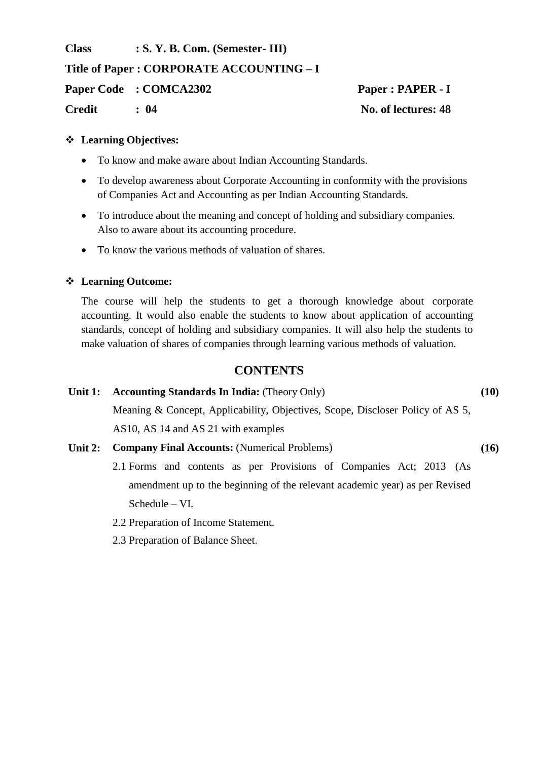**Class : S. Y. B. Com. (Semester- III) Title of Paper : CORPORATE ACCOUNTING – I Paper Code : COMCA2302 Paper : PAPER - I Credit : 04 No. of lectures: 48**

#### **Learning Objectives:**

- To know and make aware about Indian Accounting Standards.
- To develop awareness about Corporate Accounting in conformity with the provisions of Companies Act and Accounting as per Indian Accounting Standards.
- To introduce about the meaning and concept of holding and subsidiary companies. Also to aware about its accounting procedure.
- To know the various methods of valuation of shares.

#### **Learning Outcome:**

The course will help the students to get a thorough knowledge about corporate accounting. It would also enable the students to know about application of accounting standards, concept of holding and subsidiary companies. It will also help the students to make valuation of shares of companies through learning various methods of valuation.

# **CONTENTS**

| <b>Accounting Standards In India:</b> (Theory Only)                            | (10) |
|--------------------------------------------------------------------------------|------|
| Meaning & Concept, Applicability, Objectives, Scope, Discloser Policy of AS 5, |      |
| AS10, AS14 and AS21 with examples                                              |      |
|                                                                                |      |

- **Unit 2: Company Final Accounts:** (Numerical Problems) **(16)**
	- 2.1 Forms and contents as per Provisions of Companies Act; 2013 (As amendment up to the beginning of the relevant academic year) as per Revised Schedule – VI.
	- 2.2 Preparation of Income Statement.
	- 2.3 Preparation of Balance Sheet.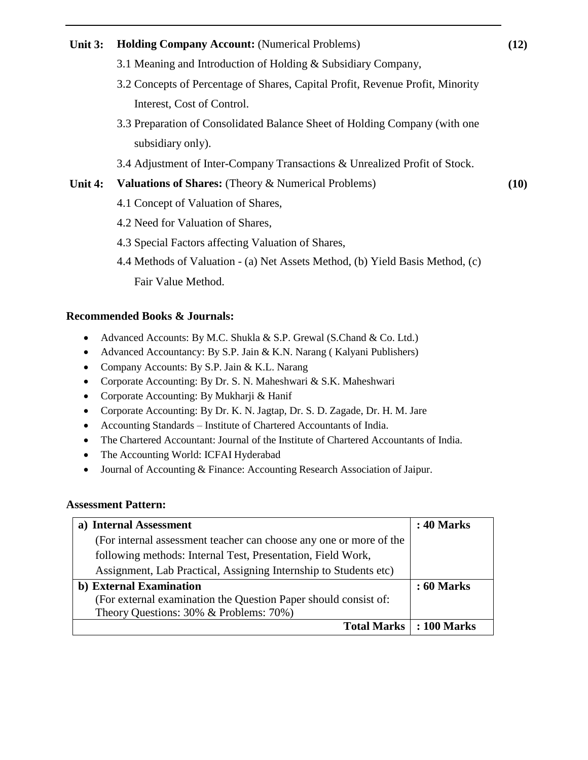# **Unit 3: Holding Company Account:** (Numerical Problems) **(12)** 3.1 Meaning and Introduction of Holding & Subsidiary Company, 3.2 Concepts of Percentage of Shares, Capital Profit, Revenue Profit, Minority Interest, Cost of Control. 3.3 Preparation of Consolidated Balance Sheet of Holding Company (with one subsidiary only). 3.4 Adjustment of Inter-Company Transactions & Unrealized Profit of Stock. **Unit 4: Valuations of Shares:** (Theory & Numerical Problems) **(10)** 4.1 Concept of Valuation of Shares, 4.2 Need for Valuation of Shares, 4.3 Special Factors affecting Valuation of Shares, 4.4 Methods of Valuation - (a) Net Assets Method, (b) Yield Basis Method, (c) Fair Value Method. **Recommended Books & Journals:** Advanced Accounts: By M.C. Shukla & S.P. Grewal (S.Chand & Co. Ltd.) • Advanced Accountancy: By S.P. Jain & K.N. Narang ( Kalyani Publishers) Company Accounts: By S.P. Jain & K.L. Narang • Corporate Accounting: By Dr. S. N. Maheshwari & S.K. Maheshwari • Corporate Accounting: By Mukharji & Hanif

- Corporate Accounting: By Dr. K. N. Jagtap, Dr. S. D. Zagade, Dr. H. M. Jare
- Accounting Standards Institute of Chartered Accountants of India.
- The Chartered Accountant: Journal of the Institute of Chartered Accountants of India.
- The Accounting World: ICFAI Hyderabad
- Journal of Accounting & Finance: Accounting Research Association of Jaipur.

#### **Assessment Pattern:**

| a) Internal Assessment                                             | <b>: 40 Marks</b> |
|--------------------------------------------------------------------|-------------------|
| (For internal assessment teacher can choose any one or more of the |                   |
| following methods: Internal Test, Presentation, Field Work,        |                   |
| Assignment, Lab Practical, Assigning Internship to Students etc)   |                   |
| b) External Examination                                            | <b>: 60 Marks</b> |
| (For external examination the Question Paper should consist of:    |                   |
| Theory Questions: 30% & Problems: 70%)                             |                   |
| Total Marks   : 100 Marks                                          |                   |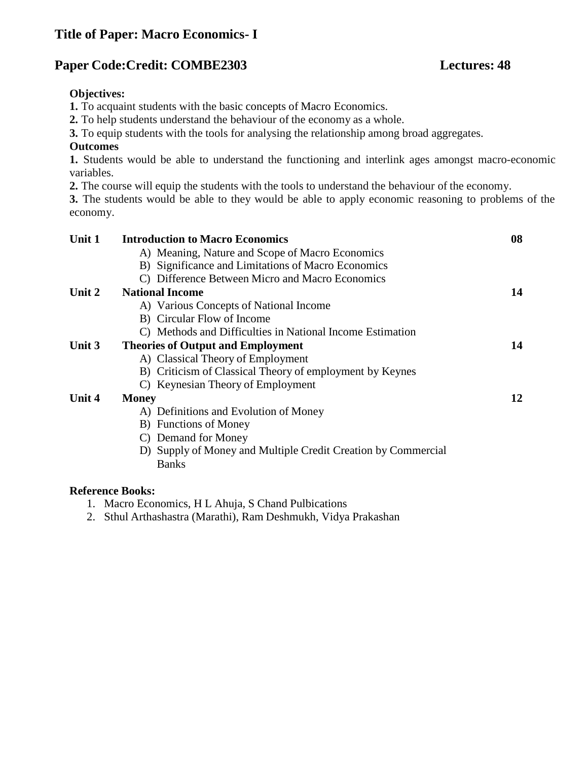# **Title of Paper: Macro Economics- I**

# **Paper Code:Credit: COMBE2303 Lectures: 48**

#### **Objectives:**

**1.** To acquaint students with the basic concepts of Macro Economics.

**2.** To help students understand the behaviour of the economy as a whole.

**3.** To equip students with the tools for analysing the relationship among broad aggregates.

#### **Outcomes**

**1.** Students would be able to understand the functioning and interlink ages amongst macro-economic variables.

**2.** The course will equip the students with the tools to understand the behaviour of the economy.

**3.** The students would be able to they would be able to apply economic reasoning to problems of the economy.

| Unit 1 | <b>Introduction to Macro Economics</b>                        | 08 |
|--------|---------------------------------------------------------------|----|
|        | A) Meaning, Nature and Scope of Macro Economics               |    |
|        | B) Significance and Limitations of Macro Economics            |    |
|        | C) Difference Between Micro and Macro Economics               |    |
| Unit 2 | <b>National Income</b>                                        | 14 |
|        | A) Various Concepts of National Income                        |    |
|        | B) Circular Flow of Income                                    |    |
|        | C) Methods and Difficulties in National Income Estimation     |    |
| Unit 3 | <b>Theories of Output and Employment</b>                      | 14 |
|        | A) Classical Theory of Employment                             |    |
|        | B) Criticism of Classical Theory of employment by Keynes      |    |
|        | C) Keynesian Theory of Employment                             |    |
| Unit 4 | <b>Money</b>                                                  | 12 |
|        | A) Definitions and Evolution of Money                         |    |
|        | B) Functions of Money                                         |    |
|        | C) Demand for Money                                           |    |
|        | D) Supply of Money and Multiple Credit Creation by Commercial |    |
|        | <b>Banks</b>                                                  |    |
|        |                                                               |    |

#### **Reference Books:**

1. Macro Economics, H L Ahuja, S Chand Pulbications

2. Sthul Arthashastra (Marathi), Ram Deshmukh, Vidya Prakashan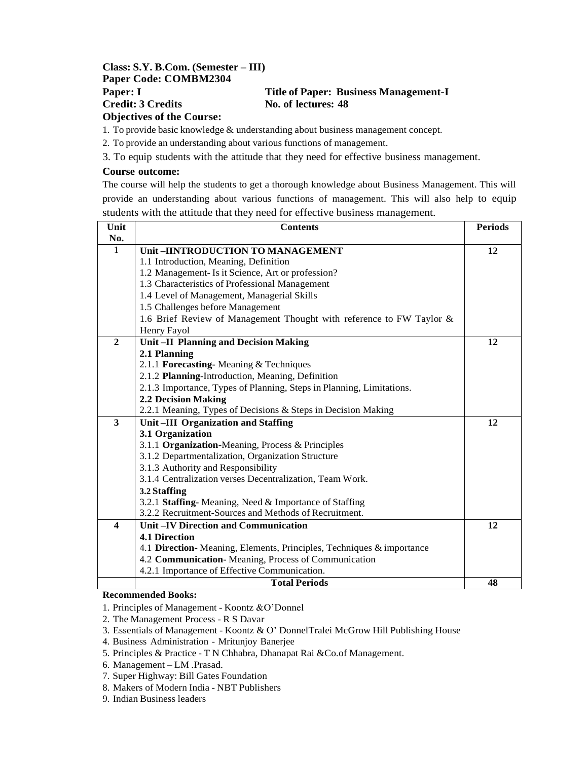#### **Class: S.Y. B.Com. (Semester – III) Paper Code: COMBM2304 Paper: I Title of Paper: Business Management-I Credit: 3 Credits No. of lectures: 48 Objectives of the Course:**

1. To provide basic knowledge & understanding about business management concept.

2. To provide an understanding about various functions of management.

3. To equip students with the attitude that they need for effective business management.

#### **Course outcome:**

The course will help the students to get a thorough knowledge about Business Management. This will provide an understanding about various functions of management. This will also help to equip students with the attitude that they need for effective business management.

| Unit                    | <b>Contents</b>                                                       | <b>Periods</b> |
|-------------------------|-----------------------------------------------------------------------|----------------|
| No.                     |                                                                       |                |
| 1                       | Unit-IINTRODUCTION TO MANAGEMENT                                      | 12             |
|                         | 1.1 Introduction, Meaning, Definition                                 |                |
|                         | 1.2 Management- Is it Science, Art or profession?                     |                |
|                         | 1.3 Characteristics of Professional Management                        |                |
|                         | 1.4 Level of Management, Managerial Skills                            |                |
|                         | 1.5 Challenges before Management                                      |                |
|                         | 1.6 Brief Review of Management Thought with reference to FW Taylor &  |                |
|                         | Henry Fayol                                                           |                |
| $\mathbf{2}$            | <b>Unit-II Planning and Decision Making</b>                           | 12             |
|                         | 2.1 Planning                                                          |                |
|                         | 2.1.1 Forecasting-Meaning & Techniques                                |                |
|                         | 2.1.2 Planning-Introduction, Meaning, Definition                      |                |
|                         | 2.1.3 Importance, Types of Planning, Steps in Planning, Limitations.  |                |
|                         | <b>2.2 Decision Making</b>                                            |                |
|                         | 2.2.1 Meaning, Types of Decisions & Steps in Decision Making          |                |
| $\overline{\mathbf{3}}$ | Unit-III Organization and Staffing                                    | 12             |
|                         | 3.1 Organization                                                      |                |
|                         | 3.1.1 Organization-Meaning, Process & Principles                      |                |
|                         | 3.1.2 Departmentalization, Organization Structure                     |                |
|                         | 3.1.3 Authority and Responsibility                                    |                |
|                         | 3.1.4 Centralization verses Decentralization, Team Work.              |                |
|                         | 3.2 Staffing                                                          |                |
|                         | 3.2.1 Staffing-Meaning, Need & Importance of Staffing                 |                |
|                         | 3.2.2 Recruitment-Sources and Methods of Recruitment.                 |                |
| $\boldsymbol{4}$        | Unit-IV Direction and Communication                                   | 12             |
|                         | <b>4.1 Direction</b>                                                  |                |
|                         | 4.1 Direction- Meaning, Elements, Principles, Techniques & importance |                |
|                         | 4.2 Communication-Meaning, Process of Communication                   |                |
|                         | 4.2.1 Importance of Effective Communication.                          |                |
|                         | <b>Total Periods</b>                                                  | 48             |

#### **Recommended Books:**

- 1. Principles of Management Koontz &O"Donnel
- 2. The Management Process R S Davar
- 3. Essentials of Management Koontz & O" DonnelTralei McGrow Hill Publishing House
- 4. Business Administration Mritunjoy Banerjee
- 5. Principles & Practice T N Chhabra, Dhanapat Rai &Co.of Management.
- 6. Management LM .Prasad.
- 7. Super Highway: Bill Gates Foundation
- 8. Makers of Modern India NBT Publishers
- 9. Indian Business leaders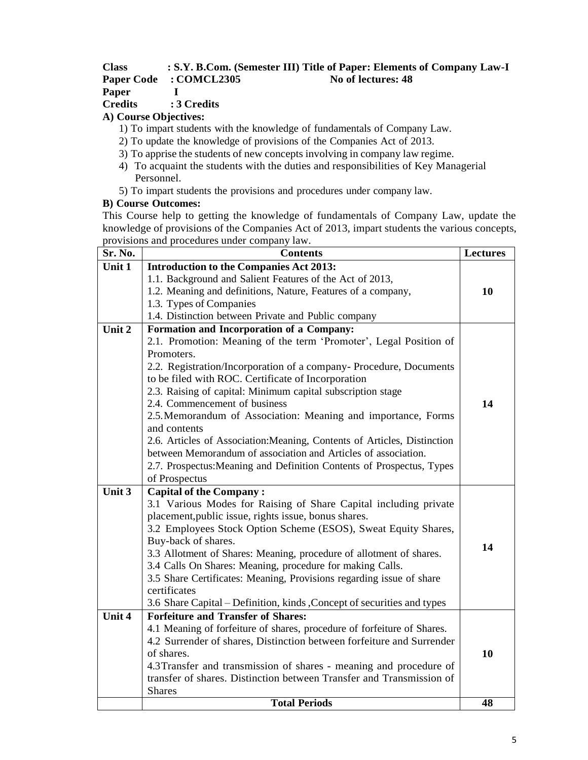#### **Class : S.Y. B.Com. (Semester III) Title of Paper: Elements of Company Law-I Paper Code : COMCL2305 No of lectures: 48**

**Paper I**

**Credits : 3 Credits**

# **A) Course Objectives:**

- 1) To impart students with the knowledge of fundamentals of Company Law.
- 2) To update the knowledge of provisions of the Companies Act of 2013.
- 3) To apprise the students of new concepts involving in company law regime.
- 4) To acquaint the students with the duties and responsibilities of Key Managerial Personnel.
- 5) To impart students the provisions and procedures under company law.

#### **B) Course Outcomes:**

This Course help to getting the knowledge of fundamentals of Company Law, update the knowledge of provisions of the Companies Act of 2013, impart students the various concepts, provisions and procedures under company law.

| Sr. No. | <b>Contents</b>                                                                                                                            | <b>Lectures</b> |
|---------|--------------------------------------------------------------------------------------------------------------------------------------------|-----------------|
| Unit 1  | <b>Introduction to the Companies Act 2013:</b>                                                                                             |                 |
|         | 1.1. Background and Salient Features of the Act of 2013,                                                                                   |                 |
|         | 1.2. Meaning and definitions, Nature, Features of a company,                                                                               | 10              |
|         | 1.3. Types of Companies                                                                                                                    |                 |
|         | 1.4. Distinction between Private and Public company                                                                                        |                 |
| Unit 2  | Formation and Incorporation of a Company:                                                                                                  |                 |
|         | 2.1. Promotion: Meaning of the term 'Promoter', Legal Position of                                                                          |                 |
|         | Promoters.                                                                                                                                 |                 |
|         | 2.2. Registration/Incorporation of a company-Procedure, Documents                                                                          |                 |
|         | to be filed with ROC. Certificate of Incorporation                                                                                         |                 |
|         | 2.3. Raising of capital: Minimum capital subscription stage                                                                                |                 |
|         | 2.4. Commencement of business                                                                                                              | 14              |
|         | 2.5. Memorandum of Association: Meaning and importance, Forms                                                                              |                 |
|         | and contents                                                                                                                               |                 |
|         | 2.6. Articles of Association: Meaning, Contents of Articles, Distinction                                                                   |                 |
|         | between Memorandum of association and Articles of association.                                                                             |                 |
|         | 2.7. Prospectus: Meaning and Definition Contents of Prospectus, Types                                                                      |                 |
|         | of Prospectus                                                                                                                              |                 |
| Unit 3  | <b>Capital of the Company:</b>                                                                                                             |                 |
|         | 3.1 Various Modes for Raising of Share Capital including private                                                                           |                 |
|         | placement, public issue, rights issue, bonus shares.                                                                                       |                 |
|         | 3.2 Employees Stock Option Scheme (ESOS), Sweat Equity Shares,                                                                             |                 |
|         | Buy-back of shares.                                                                                                                        | 14              |
|         | 3.3 Allotment of Shares: Meaning, procedure of allotment of shares.                                                                        |                 |
|         | 3.4 Calls On Shares: Meaning, procedure for making Calls.                                                                                  |                 |
|         | 3.5 Share Certificates: Meaning, Provisions regarding issue of share                                                                       |                 |
|         | certificates                                                                                                                               |                 |
|         | 3.6 Share Capital – Definition, kinds, Concept of securities and types                                                                     |                 |
| Unit 4  | <b>Forfeiture and Transfer of Shares:</b>                                                                                                  |                 |
|         | 4.1 Meaning of forfeiture of shares, procedure of forfeiture of Shares.                                                                    |                 |
|         | 4.2 Surrender of shares, Distinction between forfeiture and Surrender<br>of shares.                                                        | 10              |
|         |                                                                                                                                            |                 |
|         | 4.3 Transfer and transmission of shares - meaning and procedure of<br>transfer of shares. Distinction between Transfer and Transmission of |                 |
|         | <b>Shares</b>                                                                                                                              |                 |
|         | <b>Total Periods</b>                                                                                                                       | 48              |
|         |                                                                                                                                            |                 |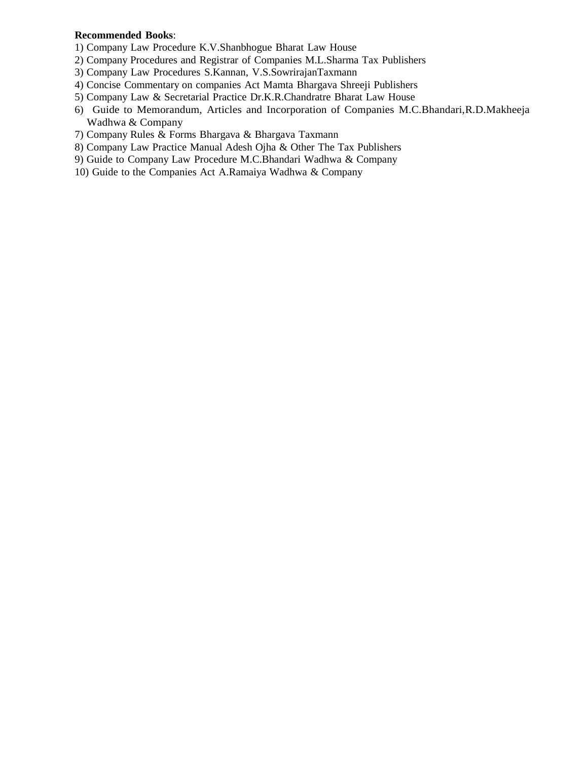#### **Recommended Books**:

- 1) Company Law Procedure K.V.Shanbhogue Bharat Law House
- 2) Company Procedures and Registrar of Companies M.L.Sharma Tax Publishers
- 3) Company Law Procedures S.Kannan, V.S.SowrirajanTaxmann
- 4) Concise Commentary on companies Act Mamta Bhargava Shreeji Publishers
- 5) Company Law & Secretarial Practice Dr.K.R.Chandratre Bharat Law House
- 6) Guide to Memorandum, Articles and Incorporation of Companies M.C.Bhandari,R.D.Makheeja Wadhwa & Company
- 7) Company Rules & Forms Bhargava & Bhargava Taxmann
- 8) Company Law Practice Manual Adesh Ojha & Other The Tax Publishers
- 9) Guide to Company Law Procedure M.C.Bhandari Wadhwa & Company
- 10) Guide to the Companies Act A.Ramaiya Wadhwa & Company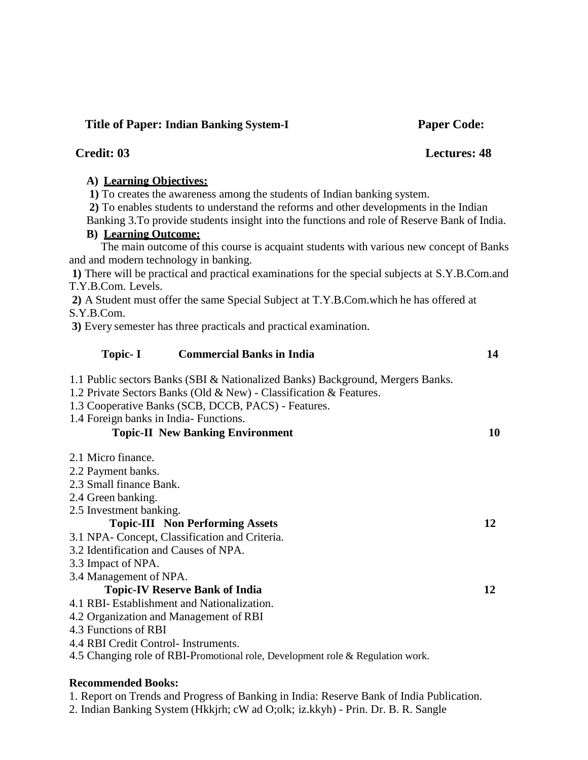#### **Title of Paper: Indian Banking System-I Paper Code:**

# **Credit: 03 Lectures: 48**

#### **A) Learning Objectives:**

**1)** To creates the awareness among the students of Indian banking system.

**2)** To enables students to understand the reforms and other developments in the Indian

Banking 3.To provide students insight into the functions and role of Reserve Bank of India.

# **B) Learning Outcome:**

The main outcome of this course is acquaint students with various new concept of Banks and and modern technology in banking.

**1)** There will be practical and practical examinations for the special subjects at S.Y.B.Com.and T.Y.B.Com. Levels.

**2)** A Student must offer the same Special Subject at T.Y.B.Com.which he has offered at S.Y.B.Com.

**3)** Every semester has three practicals and practical examination.

# **Topic- I Commercial Banks in India 14**

1.1 Public sectors Banks (SBI & Nationalized Banks) Background, Mergers Banks.

1.2 Private Sectors Banks (Old & New) - Classification & Features.

1.3 Cooperative Banks (SCB, DCCB, PACS) - Features.

1.4 Foreign banks in India- Functions.

# **Topic-II New Banking Environment 10**

- 2.1 Micro finance.
- 2.2 Payment banks.
- 2.3 Small finance Bank.
- 2.4 Green banking.
- 2.5 Investment banking.

# **Topic-III Non Performing Assets 12**

3.1 NPA- Concept, Classification and Criteria.

- 3.2 Identification and Causes of NPA.
- 3.3 Impact of NPA.
- 3.4 Management of NPA.

# **Topic-IV Reserve Bank of India 12**

- 4.1 RBI- Establishment and Nationalization.
- 4.2 Organization and Management of RBI
- 4.3 Functions of RBI
- 4.4 RBI Credit Control- Instruments.
- 4.5 Changing role of RBI-Promotional role, Development role & Regulation work.

#### **Recommended Books:**

1. Report on Trends and Progress of Banking in India: Reserve Bank of India Publication.

2. Indian Banking System (Hkkjrh; cW ad O;olk; iz.kkyh) - Prin. Dr. B. R. Sangle

- 
-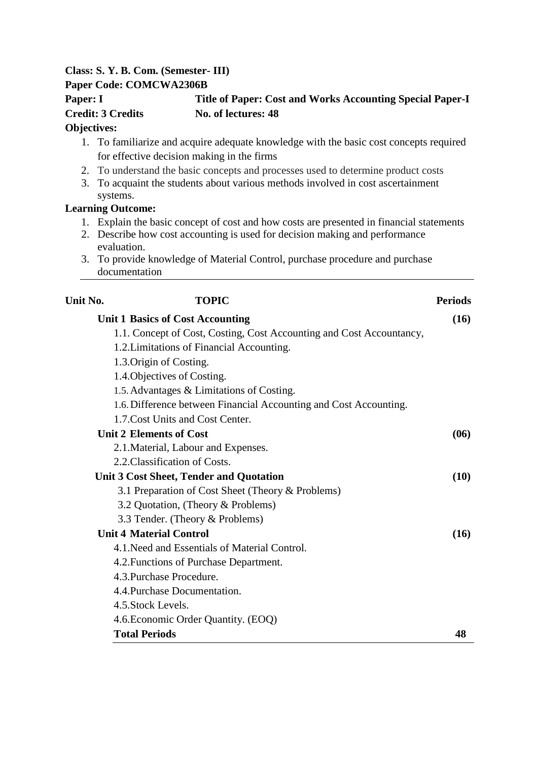# **Class: S. Y. B. Com. (Semester- III)**

#### **Paper Code: COMCWA2306B**

# **Paper: I Title of Paper: Cost and Works Accounting Special Paper-I Credit: 3 Credits No. of lectures: 48**

# **Objectives:**

- 1. To familiarize and acquire adequate knowledge with the basic cost concepts required for effective decision making in the firms
- 2. To understand the basic concepts and processes used to determine product costs
- 3. To acquaint the students about various methods involved in cost ascertainment systems.

# **Learning Outcome:**

- 1. Explain the basic concept of cost and how costs are presented in financial statements
- 2. Describe how cost accounting is used for decision making and performance evaluation.
- 3. To provide knowledge of Material Control, purchase procedure and purchase documentation

| Unit No. | <b>TOPIC</b>                                                         | <b>Periods</b> |
|----------|----------------------------------------------------------------------|----------------|
|          | <b>Unit 1 Basics of Cost Accounting</b>                              | (16)           |
|          | 1.1. Concept of Cost, Costing, Cost Accounting and Cost Accountancy, |                |
|          | 1.2. Limitations of Financial Accounting.                            |                |
|          | 1.3. Origin of Costing.                                              |                |
|          | 1.4. Objectives of Costing.                                          |                |
|          | 1.5. Advantages & Limitations of Costing.                            |                |
|          | 1.6. Difference between Financial Accounting and Cost Accounting.    |                |
|          | 1.7. Cost Units and Cost Center.                                     |                |
|          | <b>Unit 2 Elements of Cost</b>                                       | (06)           |
|          | 2.1. Material, Labour and Expenses.                                  |                |
|          | 2.2. Classification of Costs.                                        |                |
|          | <b>Unit 3 Cost Sheet, Tender and Quotation</b>                       | (10)           |
|          | 3.1 Preparation of Cost Sheet (Theory & Problems)                    |                |
|          | 3.2 Quotation, (Theory & Problems)                                   |                |
|          | 3.3 Tender. (Theory & Problems)                                      |                |
|          | <b>Unit 4 Material Control</b>                                       | (16)           |
|          | 4.1. Need and Essentials of Material Control.                        |                |
|          | 4.2. Functions of Purchase Department.                               |                |
|          | 4.3. Purchase Procedure.                                             |                |
|          | 4.4. Purchase Documentation.                                         |                |
|          | 4.5. Stock Levels.                                                   |                |
|          | 4.6. Economic Order Quantity. (EOQ)                                  |                |
|          | <b>Total Periods</b>                                                 | 48             |
|          |                                                                      |                |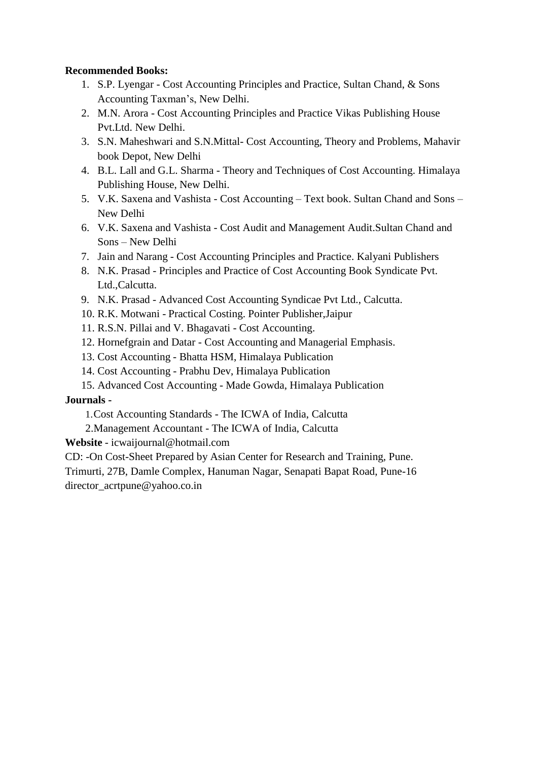# **Recommended Books:**

- 1. S.P. Lyengar Cost Accounting Principles and Practice, Sultan Chand, & Sons Accounting Taxman"s, New Delhi.
- 2. M.N. Arora Cost Accounting Principles and Practice Vikas Publishing House Pvt.Ltd. New Delhi.
- 3. S.N. Maheshwari and S.N.Mittal- Cost Accounting, Theory and Problems, Mahavir book Depot, New Delhi
- 4. B.L. Lall and G.L. Sharma Theory and Techniques of Cost Accounting. Himalaya Publishing House, New Delhi.
- 5. V.K. Saxena and Vashista Cost Accounting Text book. Sultan Chand and Sons New Delhi
- 6. V.K. Saxena and Vashista Cost Audit and Management Audit.Sultan Chand and Sons – New Delhi
- 7. Jain and Narang Cost Accounting Principles and Practice. Kalyani Publishers
- 8. N.K. Prasad Principles and Practice of Cost Accounting Book Syndicate Pvt. Ltd.,Calcutta.
- 9. N.K. Prasad Advanced Cost Accounting Syndicae Pvt Ltd., Calcutta.
- 10. R.K. Motwani Practical Costing. Pointer Publisher,Jaipur
- 11. R.S.N. Pillai and V. Bhagavati Cost Accounting.
- 12. Hornefgrain and Datar Cost Accounting and Managerial Emphasis.
- 13. Cost Accounting Bhatta HSM, Himalaya Publication
- 14. Cost Accounting Prabhu Dev, Himalaya Publication
- 15. Advanced Cost Accounting Made Gowda, Himalaya Publication

# **Journals -**

- 1.Cost Accounting Standards The ICWA of India, Calcutta
- 2.Management Accountant The ICWA of India, Calcutta

**Website** - [icwaijournal@hotmail.com](mailto:icwaijournal@hotmail.com)

CD: -On Cost-Sheet Prepared by Asian Center for Research and Training, Pune.

Trimurti, 27B, Damle Complex, Hanuman Nagar, Senapati Bapat Road, Pune-16 [director\\_acrtpune@yahoo.co.in](mailto:director_acrtpune@yahoo.co.in)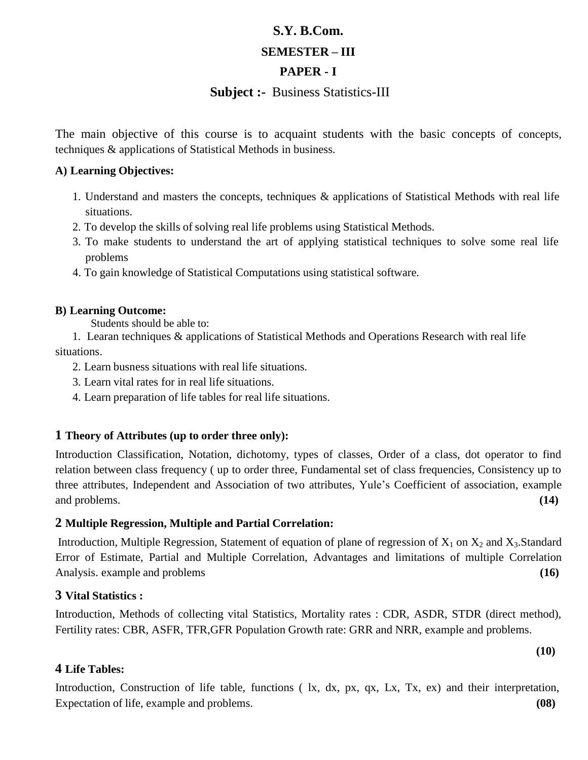# **S.Y. B.Com. SEMESTER – III**

# **PAPER - I**

# **Subject :-** Business Statistics-III

The main objective of this course is to acquaint students with the basic concepts of concepts, techniques & applications of Statistical Methods in business.

#### **A) Learning Objectives:**

- 1. Understand and masters the concepts, techniques & applications of Statistical Methods with real life situations.
- 2. To develop the skills of solving real life problems using Statistical Methods.
- 3. To make students to understand the art of applying statistical techniques to solve some real life problems
- 4. To gain knowledge of Statistical Computations using statistical software.

# **B) Learning Outcome:**

Students should be able to:

1. Learan techniques & applications of Statistical Methods and Operations Research with real life situations.

2. Learn busness situations with real life situations.

3. Learn vital rates for in real life situations.

4. Learn preparation of life tables for real life situations.

# **1 Theory of Attributes (up to order three only):**

Introduction Classification, Notation, dichotomy, types of classes, Order of a class, dot operator to find relation between class frequency ( up to order three, Fundamental set of class frequencies, Consistency up to three attributes, Independent and Association of two attributes, Yule"s Coefficient of association, example and problems. **(14)**

# **2 Multiple Regression, Multiple and Partial Correlation:**

Introduction, Multiple Regression, Statement of equation of plane of regression of  $X_1$  on  $X_2$  and  $X_3$ . Standard Error of Estimate, Partial and Multiple Correlation, Advantages and limitations of multiple Correlation Analysis. example and problems **(16)**

# **3 Vital Statistics :**

Introduction, Methods of collecting vital Statistics, Mortality rates : CDR, ASDR, STDR (direct method), Fertility rates: CBR, ASFR, TFR,GFR Population Growth rate: GRR and NRR, example and problems.

**(10)**

# **4 Life Tables:**

Introduction, Construction of life table, functions ( lx, dx, px, qx, Lx, Tx, ex) and their interpretation, Expectation of life, example and problems. **(08)**